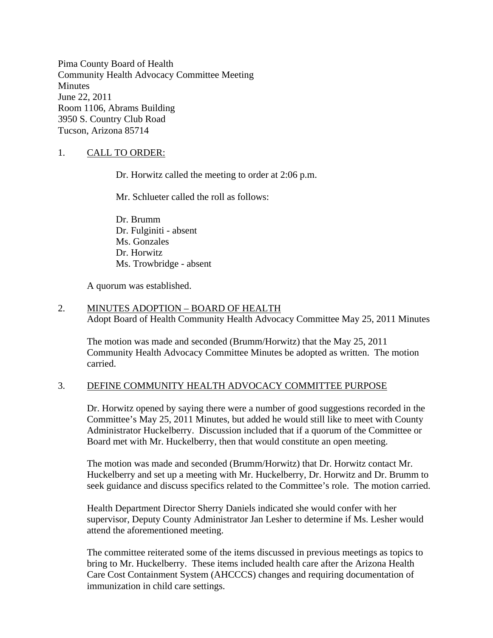Pima County Board of Health Community Health Advocacy Committee Meeting **Minutes** June 22, 2011 Room 1106, Abrams Building 3950 S. Country Club Road Tucson, Arizona 85714

# 1. CALL TO ORDER:

Dr. Horwitz called the meeting to order at 2:06 p.m.

Mr. Schlueter called the roll as follows:

Dr. Brumm Dr. Fulginiti - absent Ms. Gonzales Dr. Horwitz Ms. Trowbridge - absent

A quorum was established.

### 2. MINUTES ADOPTION – BOARD OF HEALTH Adopt Board of Health Community Health Advocacy Committee May 25, 2011 Minutes

The motion was made and seconded (Brumm/Horwitz) that the May 25, 2011 Community Health Advocacy Committee Minutes be adopted as written. The motion carried.

# 3. DEFINE COMMUNITY HEALTH ADVOCACY COMMITTEE PURPOSE

Dr. Horwitz opened by saying there were a number of good suggestions recorded in the Committee's May 25, 2011 Minutes, but added he would still like to meet with County Administrator Huckelberry. Discussion included that if a quorum of the Committee or Board met with Mr. Huckelberry, then that would constitute an open meeting.

The motion was made and seconded (Brumm/Horwitz) that Dr. Horwitz contact Mr. Huckelberry and set up a meeting with Mr. Huckelberry, Dr. Horwitz and Dr. Brumm to seek guidance and discuss specifics related to the Committee's role. The motion carried.

Health Department Director Sherry Daniels indicated she would confer with her supervisor, Deputy County Administrator Jan Lesher to determine if Ms. Lesher would attend the aforementioned meeting.

The committee reiterated some of the items discussed in previous meetings as topics to bring to Mr. Huckelberry. These items included health care after the Arizona Health Care Cost Containment System (AHCCCS) changes and requiring documentation of immunization in child care settings.